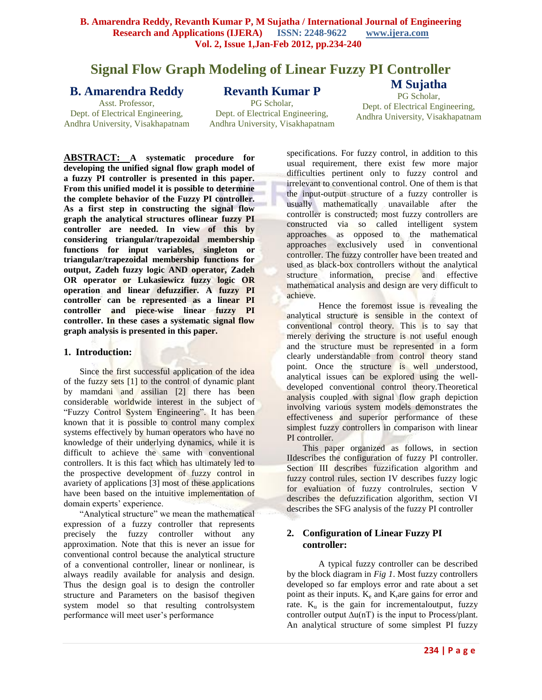# **Signal Flow Graph Modeling of Linear Fuzzy PI Controller**

## **B. Amarendra Reddy**

## **Revanth Kumar P**

Asst. Professor, Dept. of Electrical Engineering, Andhra University, Visakhapatnam

PG Scholar, Dept. of Electrical Engineering, Andhra University, Visakhapatnam

PG Scholar, Dept. of Electrical Engineering, Andhra University, Visakhapatnam

**M Sujatha**

**ABSTRACT: A systematic procedure for developing the unified signal flow graph model of a fuzzy PI controller is presented in this paper. From this unified model it is possible to determine the complete behavior of the Fuzzy PI controller. As a first step in constructing the signal flow graph the analytical structures oflinear fuzzy PI controller are needed. In view of this by considering triangular/trapezoidal membership functions for input variables, singleton or triangular/trapezoidal membership functions for output, Zadeh fuzzy logic AND operator, Zadeh OR operator or Lukasiewicz fuzzy logic OR operation and linear defuzzifier. A fuzzy PI controller can be represented as a linear PI controller and piece-wise linear fuzzy PI controller. In these cases a systematic signal flow graph analysis is presented in this paper.** 

#### **1. Introduction:**

Since the first successful application of the idea of the fuzzy sets [1] to the control of dynamic plant by mamdani and assilian [2] there has been considerable worldwide interest in the subject of "Fuzzy Control System Engineering". It has been known that it is possible to control many complex systems effectively by human operators who have no knowledge of their underlying dynamics, while it is difficult to achieve the same with conventional controllers. It is this fact which has ultimately led to the prospective development of fuzzy control in avariety of applications [3] most of these applications have been based on the intuitive implementation of domain experts' experience.

"Analytical structure" we mean the mathematical expression of a fuzzy controller that represents precisely the fuzzy controller without any approximation. Note that this is never an issue for conventional control because the analytical structure of a conventional controller, linear or nonlinear, is always readily available for analysis and design. Thus the design goal is to design the controller structure and Parameters on the basisof thegiven system model so that resulting controlsystem performance will meet user's performance

specifications. For fuzzy control, in addition to this usual requirement, there exist few more major difficulties pertinent only to fuzzy control and irrelevant to conventional control. One of them is that the input-output structure of a fuzzy controller is usually mathematically unavailable after the controller is constructed; most fuzzy controllers are constructed via so called intelligent system approaches as opposed to the mathematical approaches exclusively used in conventional controller. The fuzzy controller have been treated and used as black-box controllers without the analytical structure information, precise and effective mathematical analysis and design are very difficult to achieve.

Hence the foremost issue is revealing the analytical structure is sensible in the context of conventional control theory. This is to say that merely deriving the structure is not useful enough and the structure must be represented in a form clearly understandable from control theory stand point. Once the structure is well understood, analytical issues can be explored using the welldeveloped conventional control theory.Theoretical analysis coupled with signal flow graph depiction involving various system models demonstrates the effectiveness and superior performance of these simplest fuzzy controllers in comparison with linear PI controller.

This paper organized as follows, in section IIdescribes the configuration of fuzzy PI controller. Section III describes fuzzification algorithm and fuzzy control rules, section IV describes fuzzy logic for evaluation of fuzzy controlrules, section V describes the defuzzification algorithm, section VI describes the SFG analysis of the fuzzy PI controller

## **2. Configuration of Linear Fuzzy PI controller:**

A typical fuzzy controller can be described by the block diagram in *Fig 1*. Most fuzzy controllers developed so far employs error and rate about a set point as their inputs.  $K_e$  and  $K_\text{r}$  are gains for error and rate.  $K_{\text{u}}$  is the gain for incremental output, fuzzy controller output  $\Delta u(nT)$  is the input to Process/plant. An analytical structure of some simplest PI fuzzy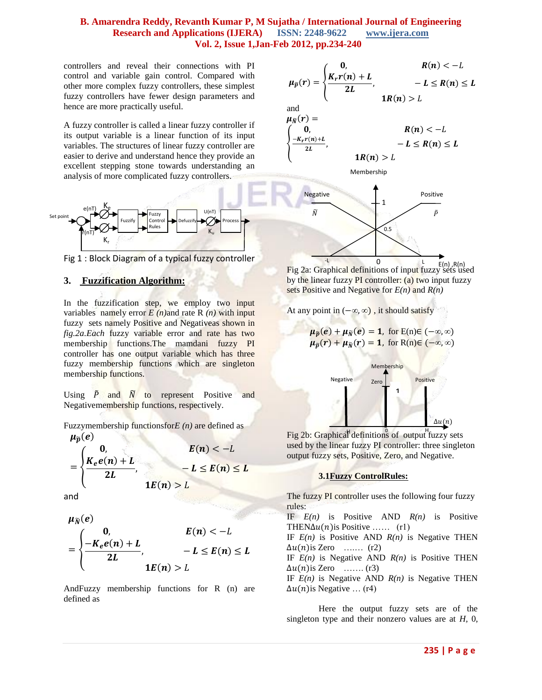controllers and reveal their connections with PI control and variable gain control. Compared with other more complex fuzzy controllers, these simplest fuzzy controllers have fewer design parameters and hence are more practically useful.

A fuzzy controller is called a linear fuzzy controller if its output variable is a linear function of its input variables. The structures of linear fuzzy controller are easier to derive and understand hence they provide an excellent stepping stone towards understanding an analysis of more complicated fuzzy controllers.



Fig 1 : Block Diagram of a typical fuzzy controller

#### **3. Fuzzification Algorithm:**

In the fuzzification step, we employ two input variables namely error  $E(n)$  and rate R  $(n)$  with input fuzzy sets namely Positive and Negativeas shown in *fig.2a.Each* fuzzy variable error and rate has two membership functions.The mamdani fuzzy PI controller has one output variable which has three fuzzy membership functions which are singleton membership functions.

Using  $\tilde{P}$  and  $\tilde{N}$  to represent Positive and Negativemembership functions, respectively.

Fuzzymembership functionsfor*E (n)* are defined as

$$
\mu_{\widetilde{p}}(e)
$$
\n
$$
= \begin{cases}\n0, & E(n) < -L \\
\frac{K_e e(n) + L}{2L}, & -L \le E(n) \le L \\
\frac{1}{E(n)} > L\n\end{cases}
$$

and

$$
\mu_{\widetilde{N}}(e)
$$
\n
$$
= \begin{cases}\n0, & E(n) < -L \\
\frac{-K_e e(n) + L}{2L}, & -L \le E(n) \le L \\
\frac{1}{2L} & \text{if } L(n) > L\n\end{cases}
$$

AndFuzzy membership functions for R (n) are defined as

$$
\mu_{\widetilde{p}}(r) = \begin{cases}\n0, & R(n) < -L \\
\frac{K_r r(n) + L}{2L}, & -L \le R(n) \le L \\
1R(n) > L\n\end{cases}
$$
 and









Fig 2a: Graphical definitions of input fuzzy sets used by the linear fuzzy  $PI$  controller: (a) two input fuzzy sets Positive and Negative for *E(n)* and *R(n)*  $E(n)$ . $R(n)$ 



$$
\mu_{\widetilde{p}}(e) + \mu_{\widetilde{N}}(e) = 1, \text{ for } E(n) \in (-\infty, \infty)
$$
  

$$
\mu_{\widetilde{p}}(r) + \mu_{\widetilde{N}}(r) = 1, \text{ for } R(n) \in (-\infty, \infty)
$$
  
*Membership*  
Negative  
*Zero*  
1

Fig 2b: Graphical definitions of output fuzzy sets rig 20. Supplied deminions of balpartial space output fuzzy sets, Positive, Zero, and Negative.

#### **3.1Fuzzy ControlRules:**

The fuzzy PI controller uses the following four fuzzy rules:

IF *E(n)* is Positive AND *R(n)* is Positive THEN $\Delta u(n)$  is Positive …… (r1)

IF *E(n)* is Positive AND *R(n)* is Negative THEN  $\Delta u(n)$ is Zero ….... (r2)

IF *E(n)* is Negative AND *R(n)* is Positive THEN  $\Delta u(n)$ is Zero ……. (r3)

IF *E(n)* is Negative AND *R(n)* is Negative THEN  $\Delta u(n)$  is Negative  $\dots$  (r4)

Here the output fuzzy sets are of the singleton type and their nonzero values are at *H,* 0,

 $\Delta u(n)$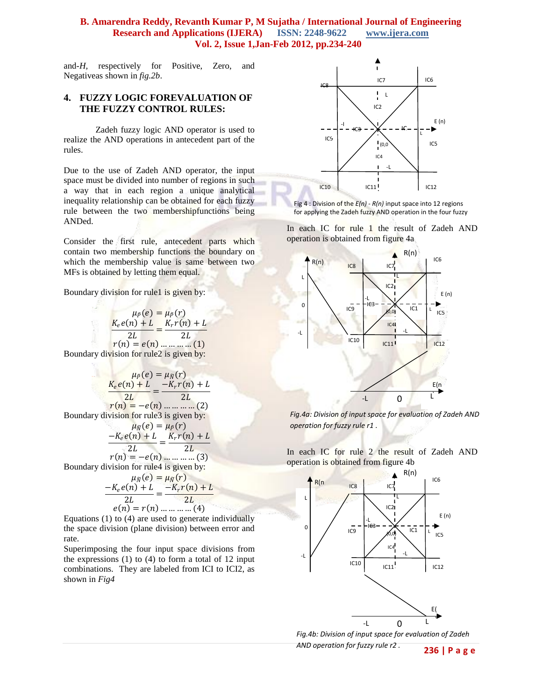and*-H,* respectively for Positive, Zero, and Negativeas shown in *fig.2b*.

#### **4. FUZZY LOGIC FOREVALUATION OF THE FUZZY CONTROL RULES:**

Zadeh fuzzy logic AND operator is used to realize the AND operations in antecedent part of the rules.

Due to the use of Zadeh AND operator, the input space must be divided into number of regions in such a way that in each region a unique analytical inequality relationship can be obtained for each fuzzy rule between the two membershipfunctions being ANDed.

Consider the first rule, antecedent parts which contain two membership functions the boundary on which the membership value is same between two MFs is obtained by letting them equal.

Boundary division for rule1 is given by:

 $\mu_{\tilde{p}}(e) = \mu_{\tilde{p}}(r)$  $,e(n)+L$  $2L$  $=\frac{K_r r(n) + L}{2L}$  $\overline{2L}$  $r(n) = e(n)$  ... ... ... (1) Boundary division for rule2 is given by:

$$
\mu_{\tilde{P}}(e) = \mu_{\tilde{N}}(r)
$$
\n
$$
\frac{K_e e(n) + L}{2L} = \frac{-K_r r(n) + L}{2L}
$$
\n
$$
r(n) = -e(n) \dots \dots \dots \dots (2)
$$
\nBoundary division for rule3 is given by:\n
$$
\mu_{\tilde{N}}(e) = \mu_P(r)
$$
\n
$$
\frac{-K_e e(n) + L}{2L} = \frac{K_r r(n) + L}{2L}
$$
\n
$$
r(n) = -e(n) \dots \dots \dots (3)
$$
\nBoundary division for rule4 is given by:

$$
\mu_{\bar{N}}(e) = \mu_{\bar{N}}(r)
$$

$$
\frac{-K_e e(n) + L}{2L} = \frac{-K_r r(n) + L}{2L}
$$

$$
e(n) = r(n) \dots \dots \dots \dots (4)
$$

Equations (1) to (4) are used to generate individually the space division (plane division) between error and rate.

Superimposing the four input space divisions from the expressions (1) to (4) to form a total of 12 input combinations. They are labeled from ICI to ICI2, as shown in *Fig4*



Fig 4 : Division of the *E(n)* - *R(n)* input space into 12 regions for applying the Zadeh fuzzy AND operation in the four fuzzy

In each IC for rule  $\frac{1}{1}$  the result of Zadeh AND operation is obtained from figure 4a



*Fig.4a: Division of input space for evaluation of Zadeh AND operation for fuzzy rule r1 .*

In each IC for rule 2 the result of Zadeh AND operation is obtained from figure 4b



*Fig.4b: Division of input space for evaluation of Zadeh AND operation for fuzzy rule r2 .*

**236 | P a g e**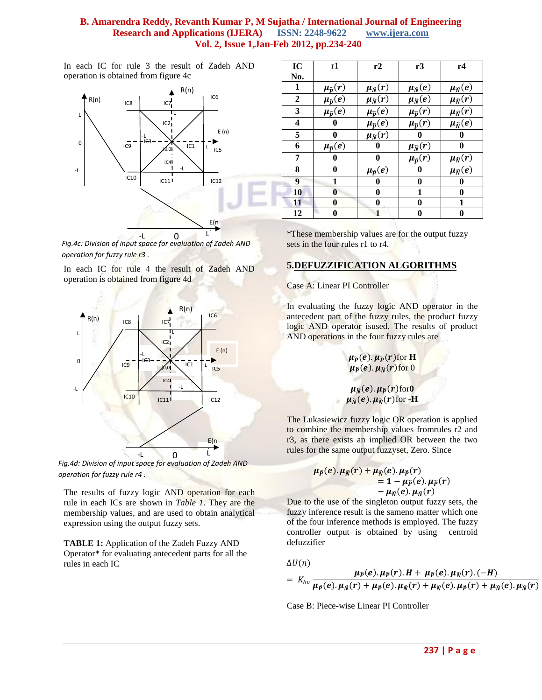In each IC for rule 3 the result of Zadeh AND operation is obtained from figure 4c



*Fig.4c: Division of input space for evaluation of Zadeh AND operation for fuzzy rule r3 .*

In each IC for rule 4 the result of Zadeh AND operation is obtained from figure 4d



*Fig.4d: Division of input space for evaluation of Zadeh AND operation for fuzzy rule r4 .*

The results of fuzzy logic AND operation for each rule in each ICs are shown in *Table 1*. They are the membership values, and are used to obtain analytical expression using the output fuzzy sets.

**TABLE 1:** Application of the Zadeh Fuzzy AND Operator\* for evaluating antecedent parts for all the rules in each IC

| IC  | r1                       | r2                       | r3                       | r4                       |
|-----|--------------------------|--------------------------|--------------------------|--------------------------|
| No. |                          |                          |                          |                          |
| 1   | $\mu_{\widetilde{p}}(r)$ | $\mu_{\widetilde{N}}(r)$ | $\mu_{\widetilde{N}}(e)$ | $\mu_{\widetilde{N}}(e)$ |
| 2   | $\mu_{\widetilde{p}}(e)$ | $\mu_{\widetilde{N}}(r)$ | $\mu_{\widetilde{N}}(e)$ | $\mu_{\widetilde{N}}(r)$ |
| 3   | $\mu_{\widetilde{p}}(e)$ | $\mu_{\widetilde{p}}(e)$ | $\mu_{\widetilde{p}}(r)$ | $\mu_{\tilde{N}}(r)$     |
| 4   | 0                        | $\mu_{\widetilde{p}}(e)$ | $\mu_{\widetilde{p}}(r)$ | $\mu_{\widetilde{N}}(e)$ |
| 5   | 0                        | $\mu_{\widetilde{N}}(r)$ | 0                        | 0                        |
| 6   | $\mu_{\widetilde{p}}(e)$ | 0                        | $\mu_{\widetilde{N}}(r)$ | 0                        |
| 7   | 0                        | 0                        | $\mu_{\widetilde{p}}(r)$ | $\mu_{\widetilde{N}}(r)$ |
| 8   | 0                        | $\mu_{\widetilde{p}}(e)$ | 0                        | $\mu_{\widetilde{N}}(e)$ |
| 9   | 1                        | 0                        | 0                        | 0                        |
| 10  | 0                        | 0                        | 1                        | 0                        |
| 11  | 0                        | 0                        | 0                        | 1                        |
| 12  | 0                        | 1                        | 0                        | 0                        |

\*These membership values are for the output fuzzy sets in the four rules r1 to r4.

## **5.DEFUZZIFICATION ALGORITHMS**

Case A: Linear PI Controller

In evaluating the fuzzy logic AND operator in the antecedent part of the fuzzy rules, the product fuzzy logic AND operator isused. The results of product AND operations in the four fuzzy rules are

> $\mu_{\widetilde{P}}(e)$ .  $\mu_{\widetilde{P}}(r)$  for **H**  $\mu_{\widetilde{P}}(e)$ .  $\mu_{\widetilde{N}}(r)$  for  $0$

$$
\mu_{\widetilde{N}}(e).\mu_{\widetilde{P}}(r)\text{for }0
$$
  

$$
\mu_{\widetilde{N}}(e).\mu_{\widetilde{N}}(r)\text{for }-\mathbf{H}
$$

The Lukasiewicz fuzzy logic OR operation is applied to combine the membership values fromrules r2 and r3, as there exists an implied OR between the two rules for the same output fuzzyset, Zero. Since

$$
\mu_{\widetilde{P}}(e).\mu_{\widetilde{N}}(r) + \mu_{\widetilde{N}}(e).\mu_{\widetilde{P}}(r) \n= 1 - \mu_{\widetilde{P}}(e).\mu_{\widetilde{P}}(r) \n- \mu_{\widetilde{N}}(e).\mu_{\widetilde{N}}(r)
$$

Due to the use of the singleton output fuzzy sets, the fuzzy inference result is the sameno matter which one of the four inference methods is employed. The fuzzy controller output is obtained by using centroid defuzzifier

$$
\Delta U(n)
$$

$$
= K_{\Delta u} \frac{\mu_{\widetilde{P}}(e) \cdot \mu_{\widetilde{P}}(r) \cdot H + \mu_{\widetilde{P}}(e) \cdot \mu_{\widetilde{N}}(r) \cdot (-H)}{\mu_{\widetilde{P}}(e) \cdot \mu_{\widetilde{N}}(r) + \mu_{\widetilde{P}}(e) \cdot \mu_{\widetilde{N}}(r) + \mu_{\widetilde{N}}(e) \cdot \mu_{\widetilde{P}}(r) + \mu_{\widetilde{N}}(e) \cdot \mu_{\widetilde{N}}(r)}
$$

Case B: Piece-wise Linear PI Controller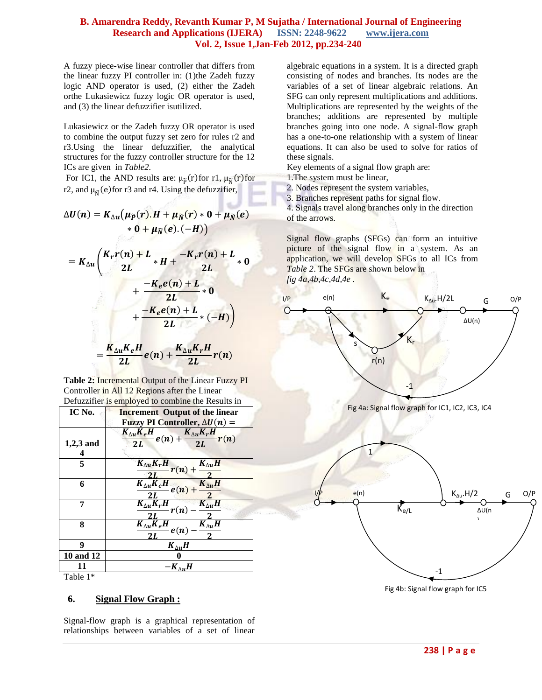A fuzzy piece-wise linear controller that differs from the linear fuzzy PI controller in: (1)the Zadeh fuzzy logic AND operator is used, (2) either the Zadeh orthe Lukasiewicz fuzzy logic OR operator is used, and (3) the linear defuzzifier isutilized.

Lukasiewicz or the Zadeh fuzzy OR operator is used to combine the output fuzzy set zero for rules r2 and r3.Using the linear defuzzifier, the analytical structures for the fuzzy controller structure for the 12 ICs are given in *Table2.*

For IC1, the AND results are:  $\mu_{\tilde{p}}(r)$  for r1,  $\mu_{\tilde{N}}(r)$  for r2, and  $\mu_{\overline{N}}(e)$  for r3 and r4. Using the defuzzifier,

$$
\Delta U(n) = K_{\Delta u}(\mu_{\widetilde{P}}(r).H + \mu_{\widetilde{N}}(r) * 0 + \mu_{\widetilde{N}}(e)
$$
  
\n
$$
* 0 + \mu_{\widetilde{N}}(e).(-H))
$$
  
\n
$$
= K_{\Delta u} \left( \frac{K_r r(n) + L}{2L} * H + \frac{-K_r r(n) + L}{2L} * 0
$$
  
\n
$$
+ \frac{-K_e e(n) + L}{2L} * 0
$$
  
\n
$$
+ \frac{-K_e e(n) + L}{2L} * (-H) \right)
$$
  
\n
$$
= \frac{K_{\Delta u} K_e H}{2L} e(n) + \frac{K_{\Delta u} K_r H}{2L} r(n)
$$

**Table 2:** Incremental Output of the Linear Fuzzy PI Controller in All 12 Regions after the Linear Defuzzifier is employed to combine the Results in

| IC No.      | <b>Increment</b> Output of the linear                                               |
|-------------|-------------------------------------------------------------------------------------|
|             | Fuzzy PI Controller, $\Delta U(n)$ =                                                |
|             | $K_{\Delta u} K_e H$<br>$\frac{d}{dt}e(n) + \frac{K_{\Delta u}K_rH}{2L}r(n)$        |
| $1,2,3$ and | $\frac{2L}{L}$                                                                      |
|             |                                                                                     |
| 5           | $K_{\Delta u} K_r H$<br>$\frac{K_{\Delta u}K_rH}{2L}r(n) + \frac{K_{\Delta u}H}{2}$ |
|             |                                                                                     |
| 6           | $\frac{K_{\Delta u}\overline{K}_eH}{2L}e(n) + \frac{K_{\Delta u}H}{2}$              |
|             |                                                                                     |
| 7           | $\frac{K_{\Delta u}K_rH}{2L}r(n)$<br>$K_{\Delta u}H$                                |
|             |                                                                                     |
| 8           | $K_{\Delta u} K_e H$<br>$K_{\Delta u}H$                                             |
|             | e(n)                                                                                |
| 9           | $K_{\wedge u}H$                                                                     |
| 10 and 12   |                                                                                     |
| 11          | $-K_{\wedge n}H$                                                                    |

Table 1\*

#### **6. Signal Flow Graph :**

Signal-flow graph is a graphical representation of relationships between variables of a set of linear algebraic equations in a system. It is a [directed graph](http://en.wikipedia.org/wiki/Directed_graph) consisting of nodes and branches. Its nodes are the variables of a set of linear algebraic relations. An SFG can only represent multiplications and additions. Multiplications are represented by the weights of the branches; additions are represented by multiple branches going into one node. A signal-flow graph has a one-to-one relationship with a system of linear equations. It can also be used to solve for ratios of these signals.

Key elements of a signal flow graph are:

1.The system must be linear,

2. Nodes represent the system variables,

3. Branches represent paths for signal flow.

4. Signals travel along branches only in the direction of the arrows.

Signal flow graphs (SFGs) can form an intuitive picture of the signal flow in a system. As an application, we will develop SFGs to all ICs from *Table 2*. The SFGs are shown below in *fig 4a,4b,4c,4d,4e .*

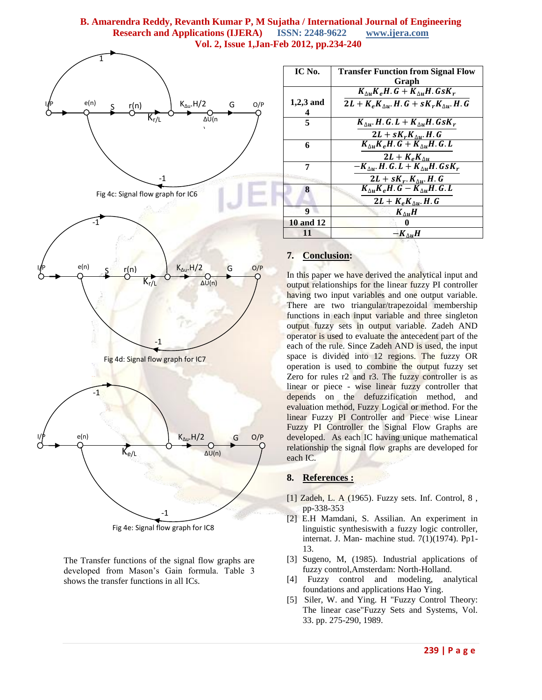

Fig 4e: Signal flow graph for IC8

The Transfer functions of the signal flow graphs are developed from Mason's Gain formula. Table 3 shows the transfer functions in all ICs.

| IC No.           | <b>Transfer Function from Signal Flow</b>                   |
|------------------|-------------------------------------------------------------|
|                  | Graph                                                       |
|                  | $K_{\Delta u} K_e H$ . $G + K_{\Delta u} H$ . $G s K_r$     |
| $1,2,3$ and      | $2L + K_e K_{\Delta u}$ . H. $G + sK_r K_{\Delta u}$ . H. G |
| 4                |                                                             |
| 5                | $K_{\Delta u}$ , H.G. L + $K_{\Delta u}$ H.GsK <sub>r</sub> |
|                  | $2L + sK_rK_{\Delta u}$ . H. G                              |
| 6                | $K_{\wedge u}K_eH$ . $G + K_{\wedge u}H$ . G. L             |
|                  | $2L + K_e K_{\Delta u}$                                     |
| 7                | $-K_{\wedge u}$ . H. G. L + $K_{\wedge u}$ H. Gs $K_r$      |
|                  | $2L + sK_r$ . $K_{\Delta u}$ . H. G                         |
| 8                | $K_{\wedge u}K_eH$ . $G-K_{\wedge u}H$ . G. L               |
|                  | $2L + K_e K_{\Delta u}$ . H. G                              |
| 9                | $K_{\Delta u}H$                                             |
| <b>10 and 12</b> |                                                             |
| 11               | $-K_{\wedge n}H$                                            |

## **7. Conclusion:**

In this paper we have derived the analytical input and output relationships for the linear fuzzy PI controller having two input variables and one output variable. There are two triangular/trapezoidal membership functions in each input variable and three singleton output fuzzy sets in output variable. Zadeh AND operator is used to evaluate the antecedent part of the each of the rule. Since Zadeh AND is used, the input space is divided into 12 regions. The fuzzy OR operation is used to combine the output fuzzy set Zero for rules r2 and r3. The fuzzy controller is as linear or piece - wise linear fuzzy controller that depends on the defuzzification method, and evaluation method, Fuzzy Logical or method. For the linear Fuzzy PI Controller and Piece wise Linear Fuzzy PI Controller the Signal Flow Graphs are developed. As each IC having unique mathematical relationship the signal flow graphs are developed for each IC.

#### **8. References :**

- [1] Zadeh, L. A (1965). Fuzzy sets. Inf. Control, 8 , pp-338-353
- [2] E.H Mamdani, S. Assilian. An experiment in linguistic synthesiswith a fuzzy logic controller, internat. J. Man- machine stud. 7(1)(1974). Pp1- 13.
- [3] Sugeno, M, (1985). Industrial applications of fuzzy control,Amsterdam: North-Holland.
- [4] Fuzzy control and modeling, analytical foundations and applications Hao Ying.
- [5] Siler, W. and Ying. H "Fuzzy Control Theory: The linear case"Fuzzy Sets and Systems, Vol. 33. pp. 275-290, 1989.